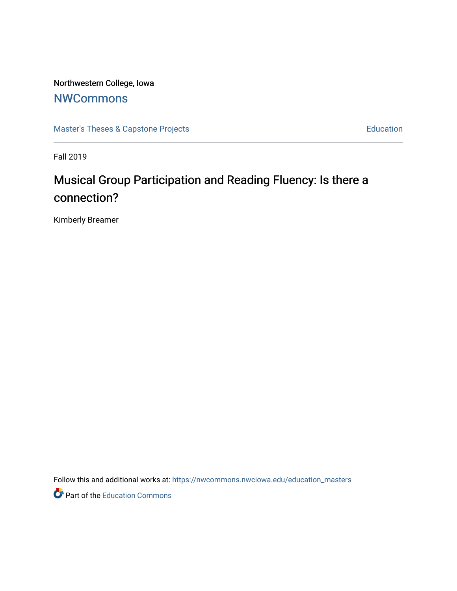Northwestern College, Iowa

## **[NWCommons](https://nwcommons.nwciowa.edu/)**

[Master's Theses & Capstone Projects](https://nwcommons.nwciowa.edu/education_masters) **Education** Education

Fall 2019

# Musical Group Participation and Reading Fluency: Is there a connection?

Kimberly Breamer

Follow this and additional works at: [https://nwcommons.nwciowa.edu/education\\_masters](https://nwcommons.nwciowa.edu/education_masters?utm_source=nwcommons.nwciowa.edu%2Feducation_masters%2F188&utm_medium=PDF&utm_campaign=PDFCoverPages)

Part of the [Education Commons](http://network.bepress.com/hgg/discipline/784?utm_source=nwcommons.nwciowa.edu%2Feducation_masters%2F188&utm_medium=PDF&utm_campaign=PDFCoverPages)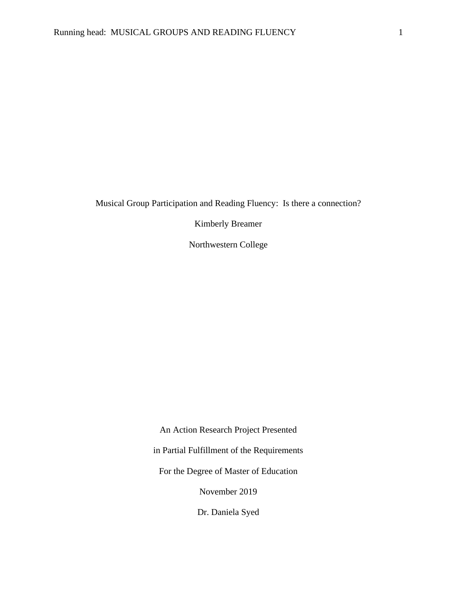Musical Group Participation and Reading Fluency: Is there a connection?

Kimberly Breamer

Northwestern College

An Action Research Project Presented in Partial Fulfillment of the Requirements For the Degree of Master of Education November 2019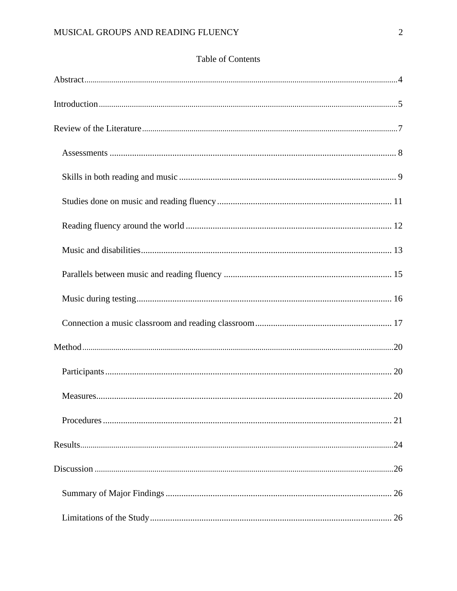### Table of Contents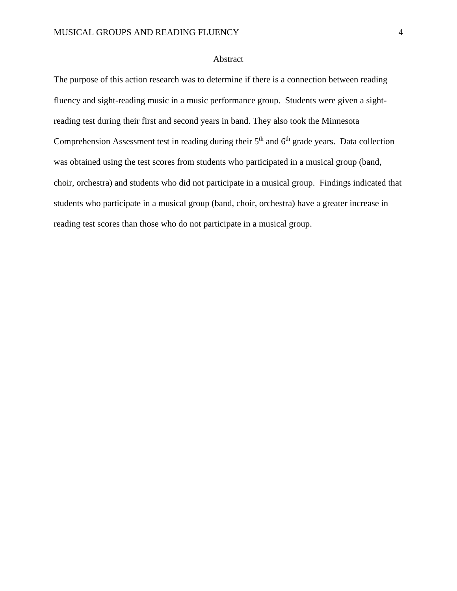#### Abstract

<span id="page-4-0"></span>The purpose of this action research was to determine if there is a connection between reading fluency and sight-reading music in a music performance group. Students were given a sightreading test during their first and second years in band. They also took the Minnesota Comprehension Assessment test in reading during their  $5<sup>th</sup>$  and  $6<sup>th</sup>$  grade years. Data collection was obtained using the test scores from students who participated in a musical group (band, choir, orchestra) and students who did not participate in a musical group. Findings indicated that students who participate in a musical group (band, choir, orchestra) have a greater increase in reading test scores than those who do not participate in a musical group.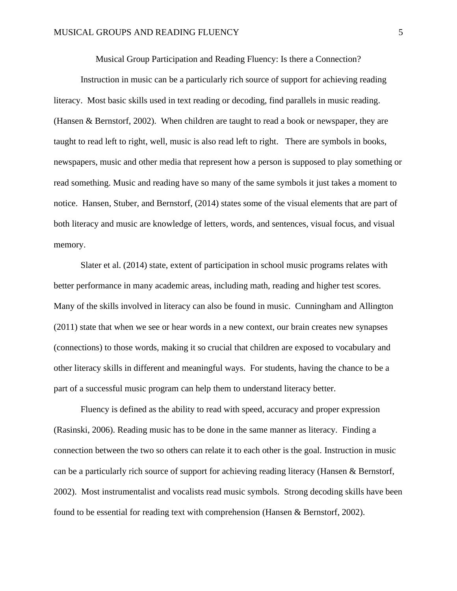Musical Group Participation and Reading Fluency: Is there a Connection?

<span id="page-5-0"></span>Instruction in music can be a particularly rich source of support for achieving reading literacy. Most basic skills used in text reading or decoding, find parallels in music reading. (Hansen & Bernstorf, 2002). When children are taught to read a book or newspaper, they are taught to read left to right, well, music is also read left to right. There are symbols in books, newspapers, music and other media that represent how a person is supposed to play something or read something. Music and reading have so many of the same symbols it just takes a moment to notice. Hansen, Stuber, and Bernstorf, (2014) states some of the visual elements that are part of both literacy and music are knowledge of letters, words, and sentences, visual focus, and visual memory.

Slater et al. (2014) state, extent of participation in school music programs relates with better performance in many academic areas, including math, reading and higher test scores. Many of the skills involved in literacy can also be found in music. Cunningham and Allington (2011) state that when we see or hear words in a new context, our brain creates new synapses (connections) to those words, making it so crucial that children are exposed to vocabulary and other literacy skills in different and meaningful ways. For students, having the chance to be a part of a successful music program can help them to understand literacy better.

Fluency is defined as the ability to read with speed, accuracy and proper expression (Rasinski, 2006). Reading music has to be done in the same manner as literacy. Finding a connection between the two so others can relate it to each other is the goal. Instruction in music can be a particularly rich source of support for achieving reading literacy (Hansen & Bernstorf, 2002). Most instrumentalist and vocalists read music symbols. Strong decoding skills have been found to be essential for reading text with comprehension (Hansen & Bernstorf, 2002).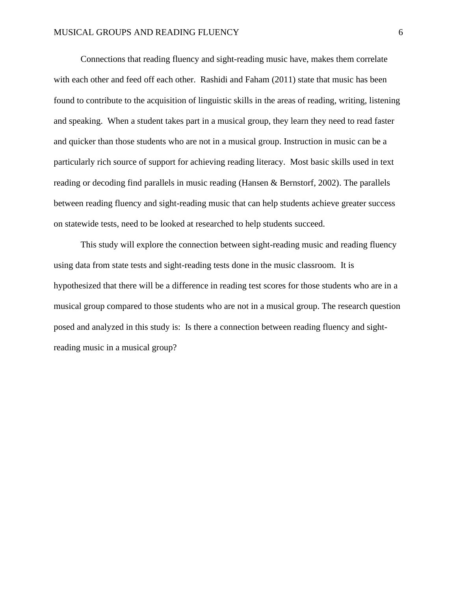Connections that reading fluency and sight-reading music have, makes them correlate with each other and feed off each other. Rashidi and Faham (2011) state that music has been found to contribute to the acquisition of linguistic skills in the areas of reading, writing, listening and speaking. When a student takes part in a musical group, they learn they need to read faster and quicker than those students who are not in a musical group. Instruction in music can be a particularly rich source of support for achieving reading literacy. Most basic skills used in text reading or decoding find parallels in music reading (Hansen & Bernstorf, 2002). The parallels between reading fluency and sight-reading music that can help students achieve greater success on statewide tests, need to be looked at researched to help students succeed.

This study will explore the connection between sight-reading music and reading fluency using data from state tests and sight-reading tests done in the music classroom. It is hypothesized that there will be a difference in reading test scores for those students who are in a musical group compared to those students who are not in a musical group. The research question posed and analyzed in this study is: Is there a connection between reading fluency and sightreading music in a musical group?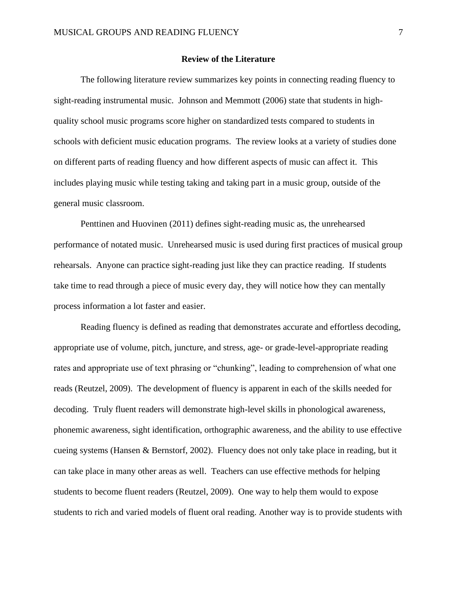#### **Review of the Literature**

<span id="page-7-0"></span>The following literature review summarizes key points in connecting reading fluency to sight-reading instrumental music. Johnson and Memmott (2006) state that students in highquality school music programs score higher on standardized tests compared to students in schools with deficient music education programs. The review looks at a variety of studies done on different parts of reading fluency and how different aspects of music can affect it. This includes playing music while testing taking and taking part in a music group, outside of the general music classroom.

Penttinen and Huovinen (2011) defines sight-reading music as, the unrehearsed performance of notated music. Unrehearsed music is used during first practices of musical group rehearsals. Anyone can practice sight-reading just like they can practice reading. If students take time to read through a piece of music every day, they will notice how they can mentally process information a lot faster and easier.

Reading fluency is defined as reading that demonstrates accurate and effortless decoding, appropriate use of volume, pitch, juncture, and stress, age- or grade-level-appropriate reading rates and appropriate use of text phrasing or "chunking", leading to comprehension of what one reads (Reutzel, 2009). The development of fluency is apparent in each of the skills needed for decoding. Truly fluent readers will demonstrate high-level skills in phonological awareness, phonemic awareness, sight identification, orthographic awareness, and the ability to use effective cueing systems (Hansen & Bernstorf, 2002). Fluency does not only take place in reading, but it can take place in many other areas as well. Teachers can use effective methods for helping students to become fluent readers (Reutzel, 2009). One way to help them would to expose students to rich and varied models of fluent oral reading. Another way is to provide students with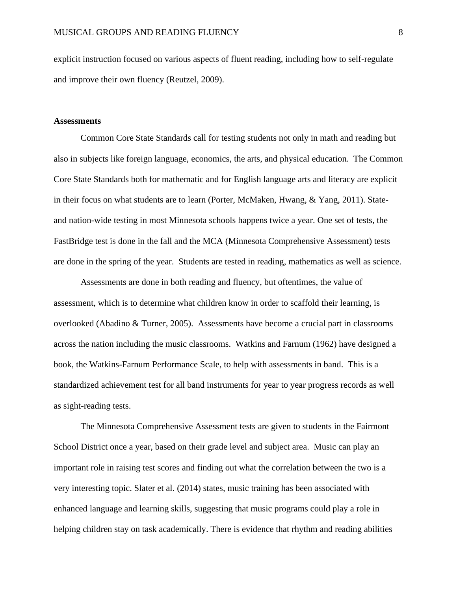explicit instruction focused on various aspects of fluent reading, including how to self-regulate and improve their own fluency (Reutzel, 2009).

#### <span id="page-8-0"></span>**Assessments**

Common Core State Standards call for testing students not only in math and reading but also in subjects like foreign language, economics, the arts, and physical education. The Common Core State Standards both for mathematic and for English language arts and literacy are explicit in their focus on what students are to learn (Porter, McMaken, Hwang, & Yang, 2011). Stateand nation-wide testing in most Minnesota schools happens twice a year. One set of tests, the FastBridge test is done in the fall and the MCA (Minnesota Comprehensive Assessment) tests are done in the spring of the year. Students are tested in reading, mathematics as well as science.

Assessments are done in both reading and fluency, but oftentimes, the value of assessment, which is to determine what children know in order to scaffold their learning, is overlooked (Abadino & Turner, 2005). Assessments have become a crucial part in classrooms across the nation including the music classrooms. Watkins and Farnum (1962) have designed a book, the Watkins-Farnum Performance Scale, to help with assessments in band. This is a standardized achievement test for all band instruments for year to year progress records as well as sight-reading tests.

The Minnesota Comprehensive Assessment tests are given to students in the Fairmont School District once a year, based on their grade level and subject area. Music can play an important role in raising test scores and finding out what the correlation between the two is a very interesting topic. Slater et al. (2014) states, music training has been associated with enhanced language and learning skills, suggesting that music programs could play a role in helping children stay on task academically. There is evidence that rhythm and reading abilities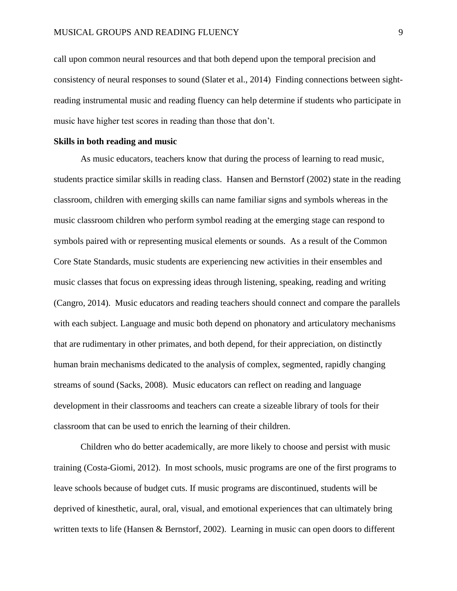call upon common neural resources and that both depend upon the temporal precision and consistency of neural responses to sound (Slater et al., 2014) Finding connections between sightreading instrumental music and reading fluency can help determine if students who participate in music have higher test scores in reading than those that don't.

#### <span id="page-9-0"></span>**Skills in both reading and music**

As music educators, teachers know that during the process of learning to read music, students practice similar skills in reading class. Hansen and Bernstorf (2002) state in the reading classroom, children with emerging skills can name familiar signs and symbols whereas in the music classroom children who perform symbol reading at the emerging stage can respond to symbols paired with or representing musical elements or sounds. As a result of the Common Core State Standards, music students are experiencing new activities in their ensembles and music classes that focus on expressing ideas through listening, speaking, reading and writing (Cangro, 2014). Music educators and reading teachers should connect and compare the parallels with each subject. Language and music both depend on phonatory and articulatory mechanisms that are rudimentary in other primates, and both depend, for their appreciation, on distinctly human brain mechanisms dedicated to the analysis of complex, segmented, rapidly changing streams of sound (Sacks, 2008). Music educators can reflect on reading and language development in their classrooms and teachers can create a sizeable library of tools for their classroom that can be used to enrich the learning of their children.

Children who do better academically, are more likely to choose and persist with music training (Costa-Giomi, 2012). In most schools, music programs are one of the first programs to leave schools because of budget cuts. If music programs are discontinued, students will be deprived of kinesthetic, aural, oral, visual, and emotional experiences that can ultimately bring written texts to life (Hansen & Bernstorf, 2002). Learning in music can open doors to different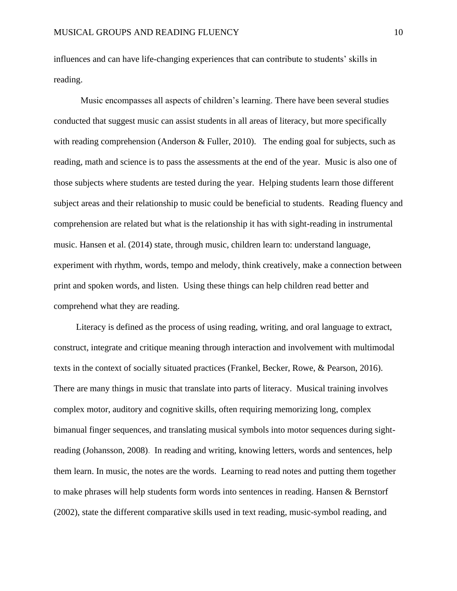influences and can have life-changing experiences that can contribute to students' skills in reading.

 Music encompasses all aspects of children's learning. There have been several studies conducted that suggest music can assist students in all areas of literacy, but more specifically with reading comprehension (Anderson & Fuller, 2010). The ending goal for subjects, such as reading, math and science is to pass the assessments at the end of the year. Music is also one of those subjects where students are tested during the year. Helping students learn those different subject areas and their relationship to music could be beneficial to students. Reading fluency and comprehension are related but what is the relationship it has with sight-reading in instrumental music. Hansen et al. (2014) state, through music, children learn to: understand language, experiment with rhythm, words, tempo and melody, think creatively, make a connection between print and spoken words, and listen. Using these things can help children read better and comprehend what they are reading.

 Literacy is defined as the process of using reading, writing, and oral language to extract, construct, integrate and critique meaning through interaction and involvement with multimodal texts in the context of socially situated practices (Frankel, Becker, Rowe, & Pearson, 2016). There are many things in music that translate into parts of literacy. Musical training involves complex motor, auditory and cognitive skills, often requiring memorizing long, complex bimanual finger sequences, and translating musical symbols into motor sequences during sightreading (Johansson, 2008). In reading and writing, knowing letters, words and sentences, help them learn. In music, the notes are the words. Learning to read notes and putting them together to make phrases will help students form words into sentences in reading. Hansen & Bernstorf (2002), state the different comparative skills used in text reading, music-symbol reading, and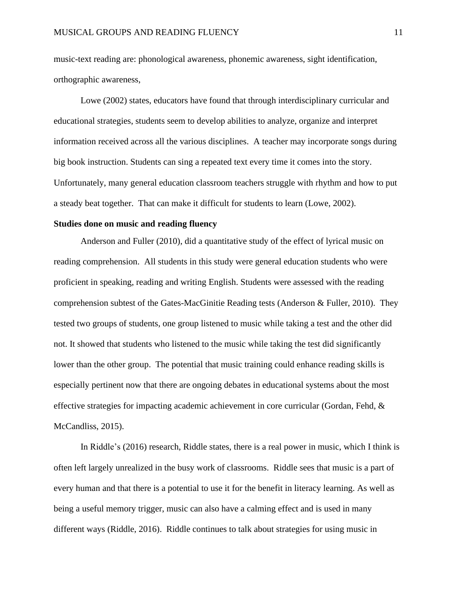music-text reading are: phonological awareness, phonemic awareness, sight identification, orthographic awareness,

Lowe (2002) states, educators have found that through interdisciplinary curricular and educational strategies, students seem to develop abilities to analyze, organize and interpret information received across all the various disciplines. A teacher may incorporate songs during big book instruction. Students can sing a repeated text every time it comes into the story. Unfortunately, many general education classroom teachers struggle with rhythm and how to put a steady beat together. That can make it difficult for students to learn (Lowe, 2002).

#### <span id="page-11-0"></span>**Studies done on music and reading fluency**

Anderson and Fuller (2010), did a quantitative study of the effect of lyrical music on reading comprehension. All students in this study were general education students who were proficient in speaking, reading and writing English. Students were assessed with the reading comprehension subtest of the Gates-MacGinitie Reading tests (Anderson & Fuller, 2010). They tested two groups of students, one group listened to music while taking a test and the other did not. It showed that students who listened to the music while taking the test did significantly lower than the other group. The potential that music training could enhance reading skills is especially pertinent now that there are ongoing debates in educational systems about the most effective strategies for impacting academic achievement in core curricular (Gordan, Fehd, & McCandliss, 2015).

 In Riddle's (2016) research, Riddle states, there is a real power in music, which I think is often left largely unrealized in the busy work of classrooms. Riddle sees that music is a part of every human and that there is a potential to use it for the benefit in literacy learning. As well as being a useful memory trigger, music can also have a calming effect and is used in many different ways (Riddle, 2016). Riddle continues to talk about strategies for using music in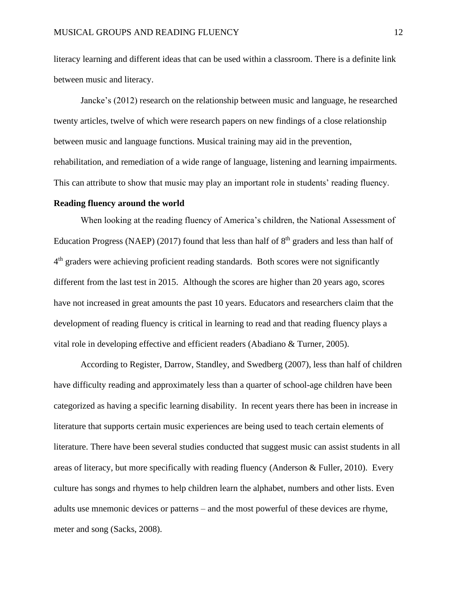literacy learning and different ideas that can be used within a classroom. There is a definite link between music and literacy.

Jancke's (2012) research on the relationship between music and language, he researched twenty articles, twelve of which were research papers on new findings of a close relationship between music and language functions. Musical training may aid in the prevention, rehabilitation, and remediation of a wide range of language, listening and learning impairments. This can attribute to show that music may play an important role in students' reading fluency.

#### <span id="page-12-0"></span>**Reading fluency around the world**

When looking at the reading fluency of America's children, the National Assessment of Education Progress (NAEP) (2017) found that less than half of  $8<sup>th</sup>$  graders and less than half of 4<sup>th</sup> graders were achieving proficient reading standards. Both scores were not significantly different from the last test in 2015. Although the scores are higher than 20 years ago, scores have not increased in great amounts the past 10 years. Educators and researchers claim that the development of reading fluency is critical in learning to read and that reading fluency plays a vital role in developing effective and efficient readers (Abadiano & Turner, 2005).

 According to Register, Darrow, Standley, and Swedberg (2007), less than half of children have difficulty reading and approximately less than a quarter of school-age children have been categorized as having a specific learning disability. In recent years there has been in increase in literature that supports certain music experiences are being used to teach certain elements of literature. There have been several studies conducted that suggest music can assist students in all areas of literacy, but more specifically with reading fluency (Anderson & Fuller, 2010). Every culture has songs and rhymes to help children learn the alphabet, numbers and other lists. Even adults use mnemonic devices or patterns – and the most powerful of these devices are rhyme, meter and song (Sacks, 2008).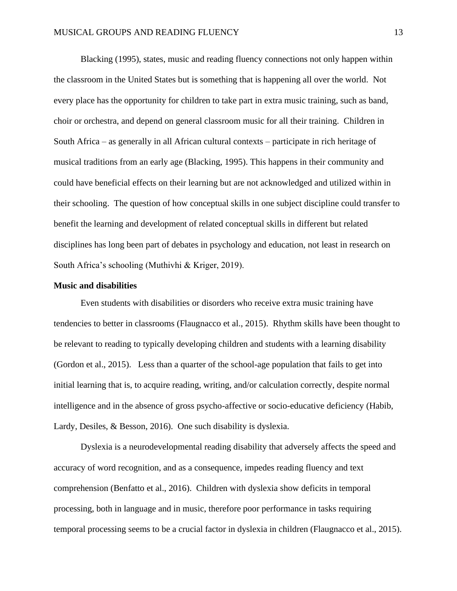Blacking (1995), states, music and reading fluency connections not only happen within the classroom in the United States but is something that is happening all over the world. Not every place has the opportunity for children to take part in extra music training, such as band, choir or orchestra, and depend on general classroom music for all their training. Children in South Africa – as generally in all African cultural contexts – participate in rich heritage of musical traditions from an early age (Blacking, 1995). This happens in their community and could have beneficial effects on their learning but are not acknowledged and utilized within in their schooling. The question of how conceptual skills in one subject discipline could transfer to benefit the learning and development of related conceptual skills in different but related disciplines has long been part of debates in psychology and education, not least in research on South Africa's schooling (Muthivhi & Kriger, 2019).

#### <span id="page-13-0"></span>**Music and disabilities**

Even students with disabilities or disorders who receive extra music training have tendencies to better in classrooms (Flaugnacco et al., 2015). Rhythm skills have been thought to be relevant to reading to typically developing children and students with a learning disability (Gordon et al., 2015). Less than a quarter of the school-age population that fails to get into initial learning that is, to acquire reading, writing, and/or calculation correctly, despite normal intelligence and in the absence of gross psycho-affective or socio-educative deficiency (Habib, Lardy, Desiles, & Besson, 2016). One such disability is dyslexia.

Dyslexia is a neurodevelopmental reading disability that adversely affects the speed and accuracy of word recognition, and as a consequence, impedes reading fluency and text comprehension (Benfatto et al., 2016). Children with dyslexia show deficits in temporal processing, both in language and in music, therefore poor performance in tasks requiring temporal processing seems to be a crucial factor in dyslexia in children (Flaugnacco et al., 2015).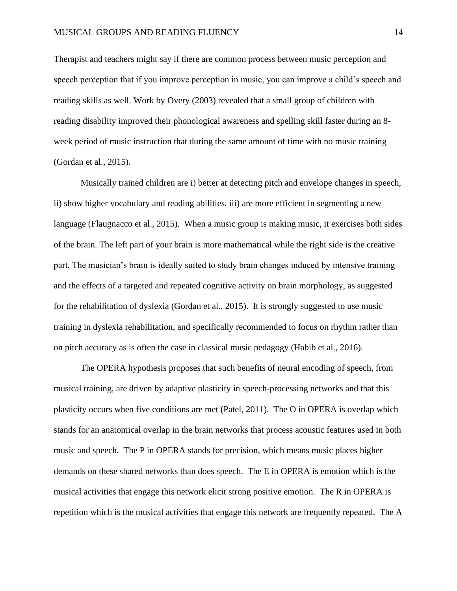Therapist and teachers might say if there are common process between music perception and speech perception that if you improve perception in music, you can improve a child's speech and reading skills as well. Work by Overy (2003) revealed that a small group of children with reading disability improved their phonological awareness and spelling skill faster during an 8 week period of music instruction that during the same amount of time with no music training (Gordan et al., 2015).

Musically trained children are i) better at detecting pitch and envelope changes in speech, ii) show higher vocabulary and reading abilities, iii) are more efficient in segmenting a new language (Flaugnacco et al., 2015). When a music group is making music, it exercises both sides of the brain. The left part of your brain is more mathematical while the right side is the creative part. The musician's brain is ideally suited to study brain changes induced by intensive training and the effects of a targeted and repeated cognitive activity on brain morphology, as suggested for the rehabilitation of dyslexia (Gordan et al., 2015). It is strongly suggested to use music training in dyslexia rehabilitation, and specifically recommended to focus on rhythm rather than on pitch accuracy as is often the case in classical music pedagogy (Habib et al., 2016).

 The OPERA hypothesis proposes that such benefits of neural encoding of speech, from musical training, are driven by adaptive plasticity in speech-processing networks and that this plasticity occurs when five conditions are met (Patel, 2011). The O in OPERA is overlap which stands for an anatomical overlap in the brain networks that process acoustic features used in both music and speech. The P in OPERA stands for precision, which means music places higher demands on these shared networks than does speech. The E in OPERA is emotion which is the musical activities that engage this network elicit strong positive emotion. The R in OPERA is repetition which is the musical activities that engage this network are frequently repeated. The A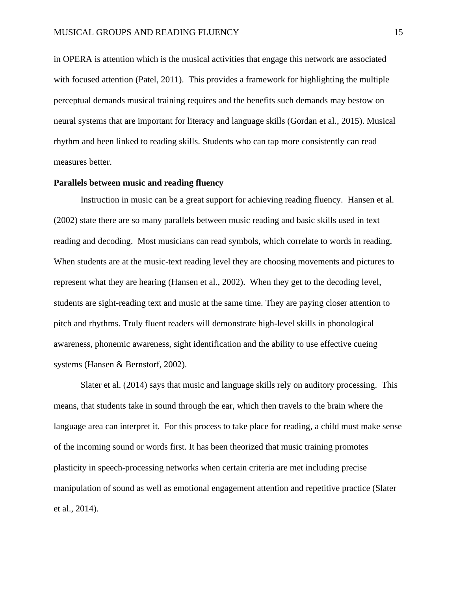in OPERA is attention which is the musical activities that engage this network are associated with focused attention (Patel, 2011). This provides a framework for highlighting the multiple perceptual demands musical training requires and the benefits such demands may bestow on neural systems that are important for literacy and language skills (Gordan et al., 2015). Musical rhythm and been linked to reading skills. Students who can tap more consistently can read measures better.

#### <span id="page-15-0"></span>**Parallels between music and reading fluency**

Instruction in music can be a great support for achieving reading fluency. Hansen et al. (2002) state there are so many parallels between music reading and basic skills used in text reading and decoding. Most musicians can read symbols, which correlate to words in reading. When students are at the music-text reading level they are choosing movements and pictures to represent what they are hearing (Hansen et al., 2002). When they get to the decoding level, students are sight-reading text and music at the same time. They are paying closer attention to pitch and rhythms. Truly fluent readers will demonstrate high-level skills in phonological awareness, phonemic awareness, sight identification and the ability to use effective cueing systems (Hansen & Bernstorf, 2002).

 Slater et al. (2014) says that music and language skills rely on auditory processing. This means, that students take in sound through the ear, which then travels to the brain where the language area can interpret it. For this process to take place for reading, a child must make sense of the incoming sound or words first. It has been theorized that music training promotes plasticity in speech-processing networks when certain criteria are met including precise manipulation of sound as well as emotional engagement attention and repetitive practice (Slater et al., 2014).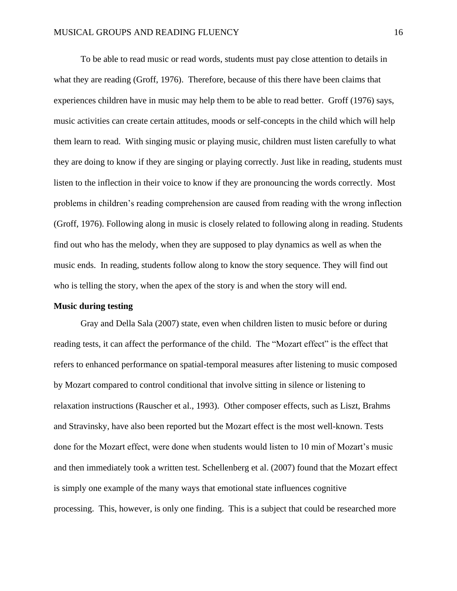To be able to read music or read words, students must pay close attention to details in what they are reading (Groff, 1976). Therefore, because of this there have been claims that experiences children have in music may help them to be able to read better. Groff (1976) says, music activities can create certain attitudes, moods or self-concepts in the child which will help them learn to read. With singing music or playing music, children must listen carefully to what they are doing to know if they are singing or playing correctly. Just like in reading, students must listen to the inflection in their voice to know if they are pronouncing the words correctly. Most problems in children's reading comprehension are caused from reading with the wrong inflection (Groff, 1976). Following along in music is closely related to following along in reading. Students find out who has the melody, when they are supposed to play dynamics as well as when the music ends. In reading, students follow along to know the story sequence. They will find out who is telling the story, when the apex of the story is and when the story will end.

#### <span id="page-16-0"></span>**Music during testing**

Gray and Della Sala (2007) state, even when children listen to music before or during reading tests, it can affect the performance of the child. The "Mozart effect" is the effect that refers to enhanced performance on spatial-temporal measures after listening to music composed by Mozart compared to control conditional that involve sitting in silence or listening to relaxation instructions (Rauscher et al., 1993). Other composer effects, such as Liszt, Brahms and Stravinsky, have also been reported but the Mozart effect is the most well-known. Tests done for the Mozart effect, were done when students would listen to 10 min of Mozart's music and then immediately took a written test. Schellenberg et al. (2007) found that the Mozart effect is simply one example of the many ways that emotional state influences cognitive processing. This, however, is only one finding. This is a subject that could be researched more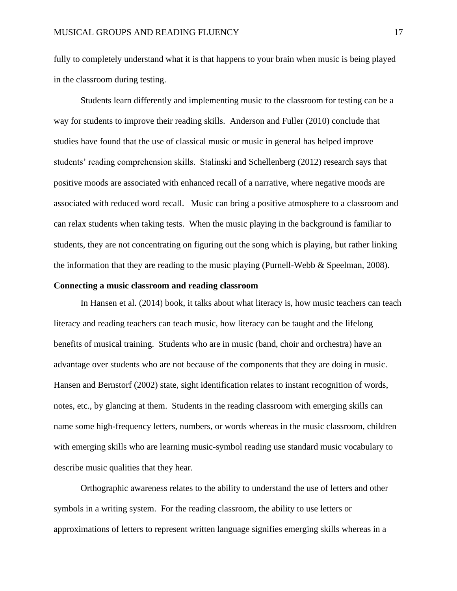fully to completely understand what it is that happens to your brain when music is being played in the classroom during testing.

Students learn differently and implementing music to the classroom for testing can be a way for students to improve their reading skills. Anderson and Fuller (2010) conclude that studies have found that the use of classical music or music in general has helped improve students' reading comprehension skills. Stalinski and Schellenberg (2012) research says that positive moods are associated with enhanced recall of a narrative, where negative moods are associated with reduced word recall. Music can bring a positive atmosphere to a classroom and can relax students when taking tests. When the music playing in the background is familiar to students, they are not concentrating on figuring out the song which is playing, but rather linking the information that they are reading to the music playing (Purnell-Webb & Speelman, 2008).

#### <span id="page-17-0"></span>**Connecting a music classroom and reading classroom**

In Hansen et al. (2014) book, it talks about what literacy is, how music teachers can teach literacy and reading teachers can teach music, how literacy can be taught and the lifelong benefits of musical training. Students who are in music (band, choir and orchestra) have an advantage over students who are not because of the components that they are doing in music. Hansen and Bernstorf (2002) state, sight identification relates to instant recognition of words, notes, etc., by glancing at them. Students in the reading classroom with emerging skills can name some high-frequency letters, numbers, or words whereas in the music classroom, children with emerging skills who are learning music-symbol reading use standard music vocabulary to describe music qualities that they hear.

Orthographic awareness relates to the ability to understand the use of letters and other symbols in a writing system. For the reading classroom, the ability to use letters or approximations of letters to represent written language signifies emerging skills whereas in a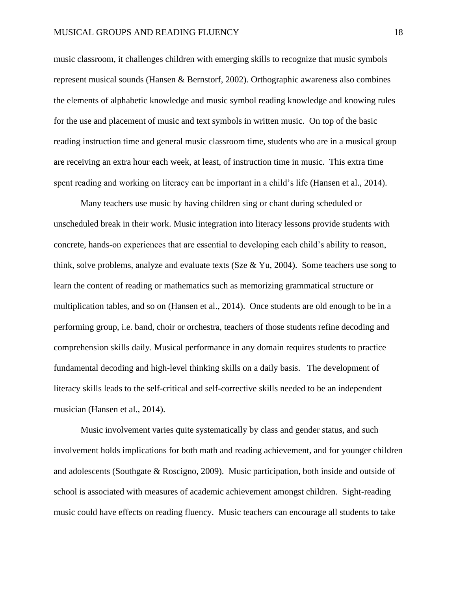music classroom, it challenges children with emerging skills to recognize that music symbols represent musical sounds (Hansen & Bernstorf, 2002). Orthographic awareness also combines the elements of alphabetic knowledge and music symbol reading knowledge and knowing rules for the use and placement of music and text symbols in written music. On top of the basic reading instruction time and general music classroom time, students who are in a musical group are receiving an extra hour each week, at least, of instruction time in music. This extra time spent reading and working on literacy can be important in a child's life (Hansen et al., 2014).

Many teachers use music by having children sing or chant during scheduled or unscheduled break in their work. Music integration into literacy lessons provide students with concrete, hands-on experiences that are essential to developing each child's ability to reason, think, solve problems, analyze and evaluate texts (Sze  $& Yu, 2004$ ). Some teachers use song to learn the content of reading or mathematics such as memorizing grammatical structure or multiplication tables, and so on (Hansen et al., 2014). Once students are old enough to be in a performing group, i.e. band, choir or orchestra, teachers of those students refine decoding and comprehension skills daily. Musical performance in any domain requires students to practice fundamental decoding and high-level thinking skills on a daily basis. The development of literacy skills leads to the self-critical and self-corrective skills needed to be an independent musician (Hansen et al., 2014).

Music involvement varies quite systematically by class and gender status, and such involvement holds implications for both math and reading achievement, and for younger children and adolescents (Southgate & Roscigno, 2009). Music participation, both inside and outside of school is associated with measures of academic achievement amongst children. Sight-reading music could have effects on reading fluency. Music teachers can encourage all students to take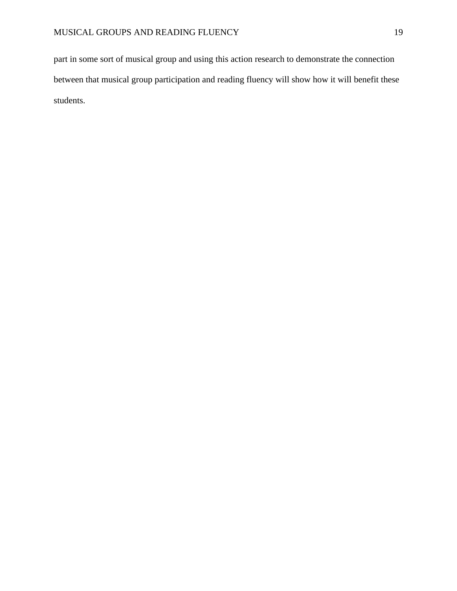part in some sort of musical group and using this action research to demonstrate the connection between that musical group participation and reading fluency will show how it will benefit these students.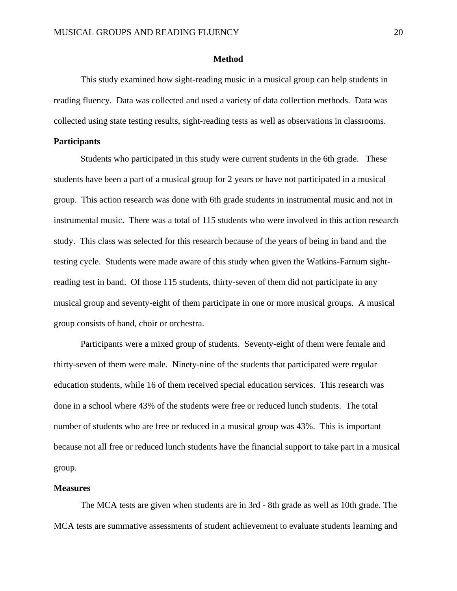#### **Method**

<span id="page-20-0"></span>This study examined how sight-reading music in a musical group can help students in reading fluency. Data was collected and used a variety of data collection methods. Data was collected using state testing results, sight-reading tests as well as observations in classrooms.

#### <span id="page-20-1"></span>**Participants**

Students who participated in this study were current students in the 6th grade. These students have been a part of a musical group for 2 years or have not participated in a musical group. This action research was done with 6th grade students in instrumental music and not in instrumental music. There was a total of 115 students who were involved in this action research study. This class was selected for this research because of the years of being in band and the testing cycle. Students were made aware of this study when given the Watkins-Farnum sightreading test in band. Of those 115 students, thirty-seven of them did not participate in any musical group and seventy-eight of them participate in one or more musical groups. A musical group consists of band, choir or orchestra.

Participants were a mixed group of students. Seventy-eight of them were female and thirty-seven of them were male. Ninety-nine of the students that participated were regular education students, while 16 of them received special education services. This research was done in a school where 43% of the students were free or reduced lunch students. The total number of students who are free or reduced in a musical group was 43%. This is important because not all free or reduced lunch students have the financial support to take part in a musical group.

#### <span id="page-20-2"></span>**Measures**

The MCA tests are given when students are in 3rd - 8th grade as well as 10th grade. The MCA tests are summative assessments of student achievement to evaluate students learning and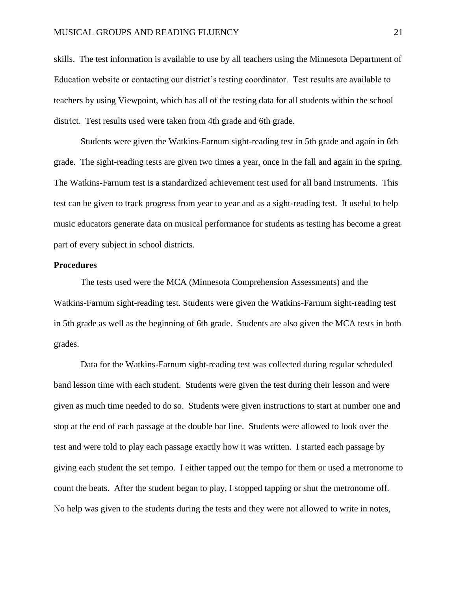skills. The test information is available to use by all teachers using the Minnesota Department of Education website or contacting our district's testing coordinator. Test results are available to teachers by using Viewpoint, which has all of the testing data for all students within the school district. Test results used were taken from 4th grade and 6th grade.

Students were given the Watkins-Farnum sight-reading test in 5th grade and again in 6th grade. The sight-reading tests are given two times a year, once in the fall and again in the spring. The Watkins-Farnum test is a standardized achievement test used for all band instruments. This test can be given to track progress from year to year and as a sight-reading test. It useful to help music educators generate data on musical performance for students as testing has become a great part of every subject in school districts.

#### <span id="page-21-0"></span>**Procedures**

The tests used were the MCA (Minnesota Comprehension Assessments) and the Watkins-Farnum sight-reading test. Students were given the Watkins-Farnum sight-reading test in 5th grade as well as the beginning of 6th grade. Students are also given the MCA tests in both grades.

Data for the Watkins-Farnum sight-reading test was collected during regular scheduled band lesson time with each student. Students were given the test during their lesson and were given as much time needed to do so. Students were given instructions to start at number one and stop at the end of each passage at the double bar line. Students were allowed to look over the test and were told to play each passage exactly how it was written. I started each passage by giving each student the set tempo. I either tapped out the tempo for them or used a metronome to count the beats. After the student began to play, I stopped tapping or shut the metronome off. No help was given to the students during the tests and they were not allowed to write in notes,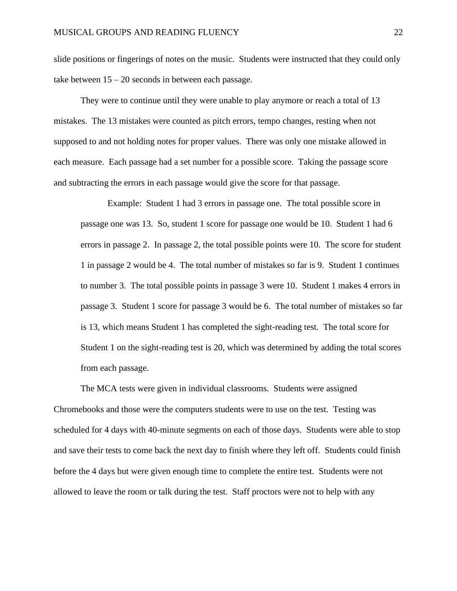slide positions or fingerings of notes on the music. Students were instructed that they could only take between 15 – 20 seconds in between each passage.

They were to continue until they were unable to play anymore or reach a total of 13 mistakes. The 13 mistakes were counted as pitch errors, tempo changes, resting when not supposed to and not holding notes for proper values. There was only one mistake allowed in each measure. Each passage had a set number for a possible score. Taking the passage score and subtracting the errors in each passage would give the score for that passage.

Example: Student 1 had 3 errors in passage one. The total possible score in passage one was 13. So, student 1 score for passage one would be 10. Student 1 had 6 errors in passage 2. In passage 2, the total possible points were 10. The score for student 1 in passage 2 would be 4. The total number of mistakes so far is 9. Student 1 continues to number 3. The total possible points in passage 3 were 10. Student 1 makes 4 errors in passage 3. Student 1 score for passage 3 would be 6. The total number of mistakes so far is 13, which means Student 1 has completed the sight-reading test. The total score for Student 1 on the sight-reading test is 20, which was determined by adding the total scores from each passage.

The MCA tests were given in individual classrooms. Students were assigned Chromebooks and those were the computers students were to use on the test. Testing was scheduled for 4 days with 40-minute segments on each of those days. Students were able to stop and save their tests to come back the next day to finish where they left off. Students could finish before the 4 days but were given enough time to complete the entire test. Students were not allowed to leave the room or talk during the test. Staff proctors were not to help with any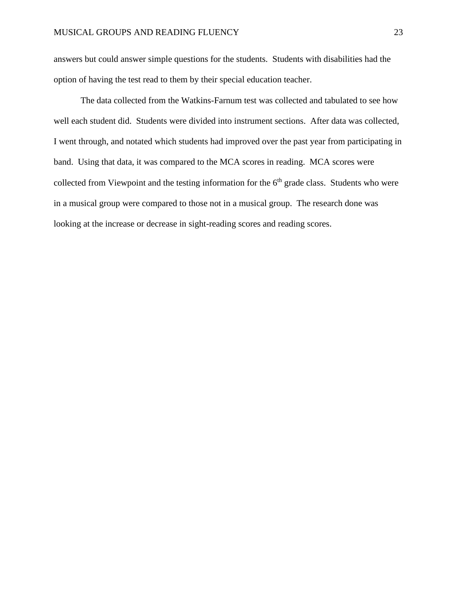answers but could answer simple questions for the students. Students with disabilities had the option of having the test read to them by their special education teacher.

The data collected from the Watkins-Farnum test was collected and tabulated to see how well each student did. Students were divided into instrument sections. After data was collected, I went through, and notated which students had improved over the past year from participating in band. Using that data, it was compared to the MCA scores in reading. MCA scores were collected from Viewpoint and the testing information for the  $6<sup>th</sup>$  grade class. Students who were in a musical group were compared to those not in a musical group. The research done was looking at the increase or decrease in sight-reading scores and reading scores.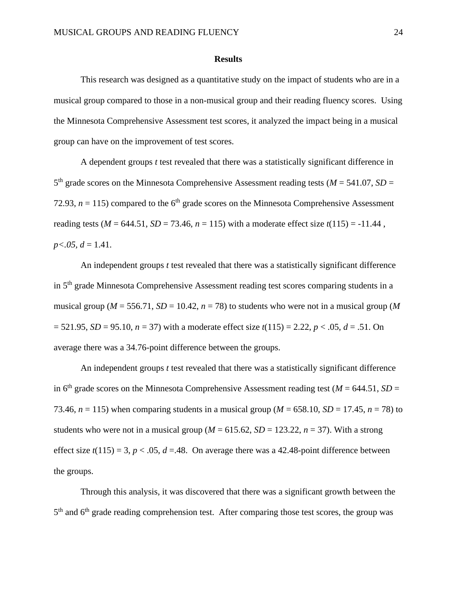#### **Results**

<span id="page-24-0"></span>This research was designed as a quantitative study on the impact of students who are in a musical group compared to those in a non-musical group and their reading fluency scores. Using the Minnesota Comprehensive Assessment test scores, it analyzed the impact being in a musical group can have on the improvement of test scores.

A dependent groups *t* test revealed that there was a statistically significant difference in  $5<sup>th</sup>$  grade scores on the Minnesota Comprehensive Assessment reading tests ( $M = 541.07$ ,  $SD =$ 72.93,  $n = 115$ ) compared to the  $6<sup>th</sup>$  grade scores on the Minnesota Comprehensive Assessment reading tests ( $M = 644.51$ ,  $SD = 73.46$ ,  $n = 115$ ) with a moderate effect size  $t(115) = -11.44$ ,  $p<0.05, d=1.41$ .

An independent groups *t* test revealed that there was a statistically significant difference in 5<sup>th</sup> grade Minnesota Comprehensive Assessment reading test scores comparing students in a musical group ( $M = 556.71$ ,  $SD = 10.42$ ,  $n = 78$ ) to students who were not in a musical group (M)  $= 521.95$ , *SD* = 95.10, *n* = 37) with a moderate effect size *t*(115) = 2.22, *p* < .05, *d* = .51. On average there was a 34.76-point difference between the groups.

An independent groups *t* test revealed that there was a statistically significant difference in 6<sup>th</sup> grade scores on the Minnesota Comprehensive Assessment reading test ( $M = 644.51$ ,  $SD =$ 73.46,  $n = 115$ ) when comparing students in a musical group ( $M = 658.10$ ,  $SD = 17.45$ ,  $n = 78$ ) to students who were not in a musical group ( $M = 615.62$ ,  $SD = 123.22$ ,  $n = 37$ ). With a strong effect size  $t(115) = 3$ ,  $p < .05$ ,  $d = .48$ . On average there was a 42.48-point difference between the groups.

Through this analysis, it was discovered that there was a significant growth between the 5<sup>th</sup> and 6<sup>th</sup> grade reading comprehension test. After comparing those test scores, the group was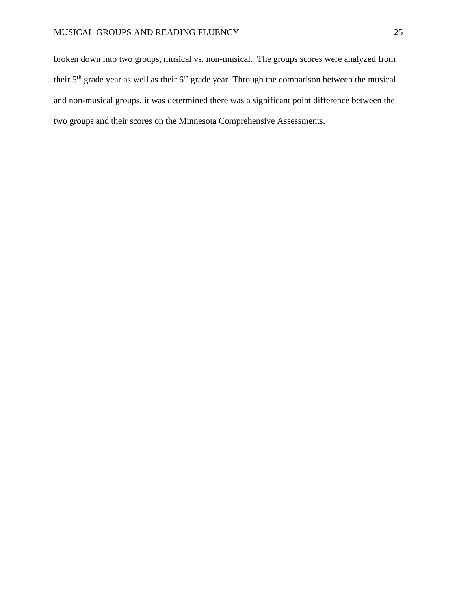broken down into two groups, musical vs. non-musical. The groups scores were analyzed from their  $5<sup>th</sup>$  grade year as well as their  $6<sup>th</sup>$  grade year. Through the comparison between the musical and non-musical groups, it was determined there was a significant point difference between the two groups and their scores on the Minnesota Comprehensive Assessments.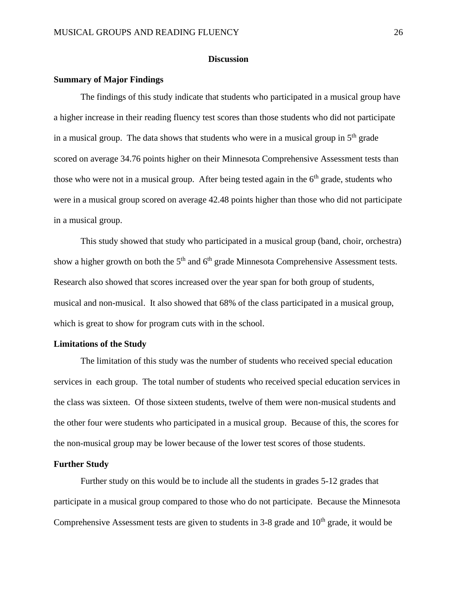#### **Discussion**

#### <span id="page-26-1"></span><span id="page-26-0"></span>**Summary of Major Findings**

The findings of this study indicate that students who participated in a musical group have a higher increase in their reading fluency test scores than those students who did not participate in a musical group. The data shows that students who were in a musical group in  $5<sup>th</sup>$  grade scored on average 34.76 points higher on their Minnesota Comprehensive Assessment tests than those who were not in a musical group. After being tested again in the  $6<sup>th</sup>$  grade, students who were in a musical group scored on average 42.48 points higher than those who did not participate in a musical group.

This study showed that study who participated in a musical group (band, choir, orchestra) show a higher growth on both the  $5<sup>th</sup>$  and  $6<sup>th</sup>$  grade Minnesota Comprehensive Assessment tests. Research also showed that scores increased over the year span for both group of students, musical and non-musical. It also showed that 68% of the class participated in a musical group, which is great to show for program cuts with in the school.

#### <span id="page-26-2"></span>**Limitations of the Study**

The limitation of this study was the number of students who received special education services in each group. The total number of students who received special education services in the class was sixteen. Of those sixteen students, twelve of them were non-musical students and the other four were students who participated in a musical group. Because of this, the scores for the non-musical group may be lower because of the lower test scores of those students.

#### <span id="page-26-3"></span>**Further Study**

Further study on this would be to include all the students in grades 5-12 grades that participate in a musical group compared to those who do not participate. Because the Minnesota Comprehensive Assessment tests are given to students in  $3-8$  grade and  $10<sup>th</sup>$  grade, it would be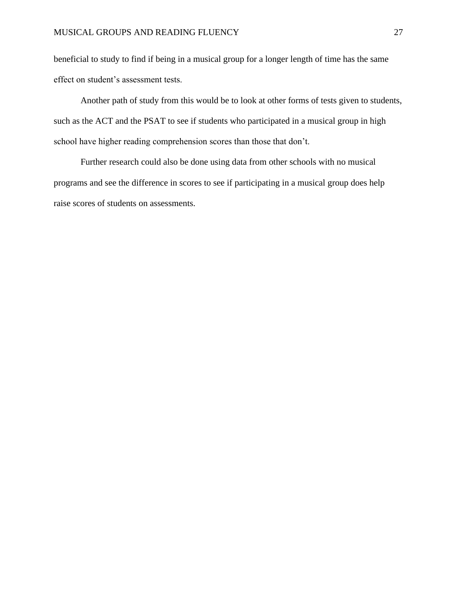beneficial to study to find if being in a musical group for a longer length of time has the same effect on student's assessment tests.

Another path of study from this would be to look at other forms of tests given to students, such as the ACT and the PSAT to see if students who participated in a musical group in high school have higher reading comprehension scores than those that don't.

<span id="page-27-0"></span>Further research could also be done using data from other schools with no musical programs and see the difference in scores to see if participating in a musical group does help raise scores of students on assessments.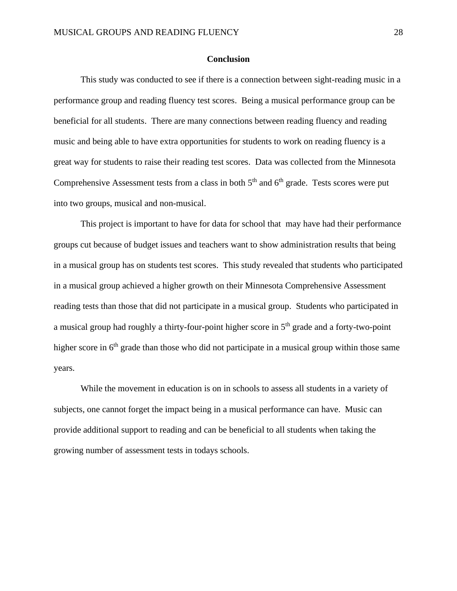#### **Conclusion**

This study was conducted to see if there is a connection between sight-reading music in a performance group and reading fluency test scores. Being a musical performance group can be beneficial for all students. There are many connections between reading fluency and reading music and being able to have extra opportunities for students to work on reading fluency is a great way for students to raise their reading test scores. Data was collected from the Minnesota Comprehensive Assessment tests from a class in both  $5<sup>th</sup>$  and  $6<sup>th</sup>$  grade. Tests scores were put into two groups, musical and non-musical.

This project is important to have for data for school that may have had their performance groups cut because of budget issues and teachers want to show administration results that being in a musical group has on students test scores. This study revealed that students who participated in a musical group achieved a higher growth on their Minnesota Comprehensive Assessment reading tests than those that did not participate in a musical group. Students who participated in a musical group had roughly a thirty-four-point higher score in 5<sup>th</sup> grade and a forty-two-point higher score in 6<sup>th</sup> grade than those who did not participate in a musical group within those same years.

While the movement in education is on in schools to assess all students in a variety of subjects, one cannot forget the impact being in a musical performance can have. Music can provide additional support to reading and can be beneficial to all students when taking the growing number of assessment tests in todays schools.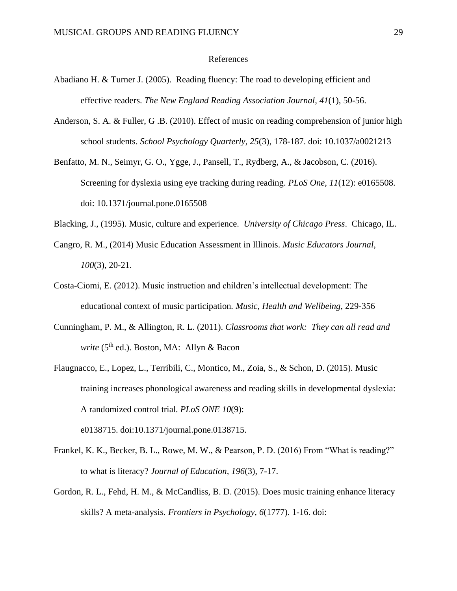#### References

- <span id="page-29-0"></span>Abadiano H. & Turner J. (2005). Reading fluency: The road to developing efficient and effective readers. *The New England Reading Association Journal, 41*(1), 50-56.
- Anderson, S. A. & Fuller, G .B. (2010). Effect of music on reading comprehension of junior high school students. *School Psychology Quarterly*, *25*(3), 178-187. doi: 10.1037/a0021213
- Benfatto, M. N., Seimyr, G. O., Ygge, J., Pansell, T., Rydberg, A., & Jacobson, C. (2016). Screening for dyslexia using eye tracking during reading. *PLoS One, 11*(12): e0165508. doi: 10.1371/journal.pone.0165508
- Blacking, J., (1995). Music, culture and experience. *University of Chicago Press*. Chicago, IL.
- Cangro, R. M., (2014) Music Education Assessment in Illinois. *Music Educators Journal, 100*(3), 20-21*.*
- Costa-Ciomi, E. (2012). Music instruction and children's intellectual development: The educational context of music participation*. Music, Health and Wellbeing,* 229-356
- Cunningham, P. M., & Allington, R. L. (2011). *Classrooms that work: They can all read and write* (5<sup>th</sup> ed.). Boston, MA: Allyn & Bacon
- Flaugnacco, E., Lopez, L., Terribili, C., Montico, M., Zoia, S., & Schon, D. (2015). Music training increases phonological awareness and reading skills in developmental dyslexia: A randomized control trial. *PLoS ONE 10*(9): e0138715. doi:10.1371/journal.pone.0138715.
- Frankel, K. K., Becker, B. L., Rowe, M. W., & Pearson, P. D. (2016) From "What is reading?" to what is literacy? *Journal of Education, 196*(3), 7-17.
- Gordon, R. L., Fehd, H. M., & McCandliss, B. D. (2015). Does music training enhance literacy skills? A meta-analysis*. Frontiers in Psychology, 6*(1777). 1-16. doi: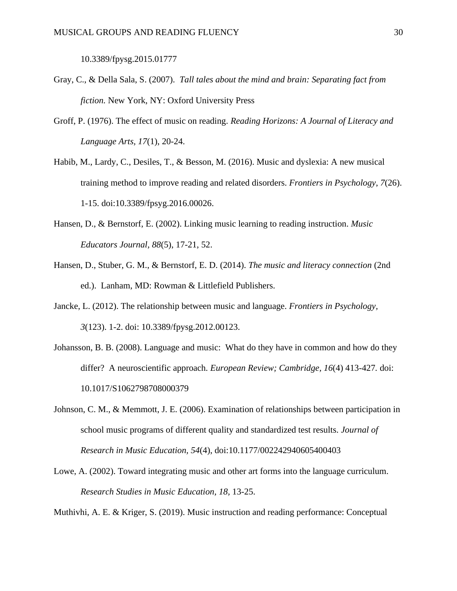10.3389/fpysg.2015.01777

- Gray, C., & Della Sala, S. (2007). *Tall tales about the mind and brain: Separating fact from fiction.* New York, NY: Oxford University Press
- Groff, P. (1976). The effect of music on reading. *Reading Horizons: A Journal of Literacy and Language Arts, 17*(1), 20-24.
- Habib, M., Lardy, C., Desiles, T., & Besson, M. (2016). Music and dyslexia: A new musical training method to improve reading and related disorders. *Frontiers in Psychology*, *7*(26). 1-15. doi:10.3389/fpsyg.2016.00026.
- Hansen, D., & Bernstorf, E. (2002). Linking music learning to reading instruction. *Music Educators Journal, 88*(5), 17-21, 52.
- Hansen, D., Stuber, G. M., & Bernstorf, E. D. (2014). *The music and literacy connection* (2nd ed.). Lanham, MD: Rowman & Littlefield Publishers.
- Jancke, L. (2012). The relationship between music and language. *Frontiers in Psychology, 3*(123). 1-2. doi: 10.3389/fpysg.2012.00123.
- Johansson, B. B. (2008). Language and music: What do they have in common and how do they differ? A neuroscientific approach. *European Review; Cambridge, 16*(4) 413-427*.* doi: 10.1017/S1062798708000379
- Johnson, C. M., & Memmott, J. E. (2006). Examination of relationships between participation in school music programs of different quality and standardized test results. *Journal of Research in Music Education, 54*(4), doi:10.1177/002242940605400403
- Lowe, A. (2002). Toward integrating music and other art forms into the language curriculum. *Research Studies in Music Education, 18,* 13-25.

Muthivhi, A. E. & Kriger, S. (2019). Music instruction and reading performance: Conceptual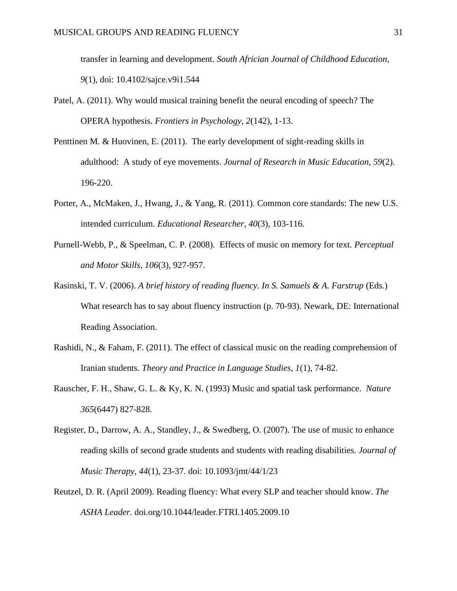transfer in learning and development. *South Africian Journal of Childhood Education*, *9*(1), doi: 10.4102/sajce.v9i1.544

- Patel, A. (2011). Why would musical training benefit the neural encoding of speech? The OPERA hypothesis. *Frontiers in Psychology, 2*(142), 1-13.
- Penttinen M. & Huovinen, E. (2011). The early development of sight-reading skills in adulthood: A study of eye movements. *Journal of Research in Music Education, 59*(2). 196-220.
- Porter, A., McMaken, J., Hwang, J., & Yang, R. (2011). Common core standards: The new U.S. intended curriculum. *Educational Researcher, 40*(3), 103-116.
- Purnell-Webb, P., & Speelman, C. P. (2008). Effects of music on memory for text. *Perceptual and Motor Skills, 106*(3), 927-957.
- Rasinski, T. V. (2006). *A brief history of reading fluency. In S. Samuels & A. Farstrup* (Eds.) What research has to say about fluency instruction (p. 70-93). Newark, DE: International Reading Association.
- Rashidi, N., & Faham, F. (2011). The effect of classical music on the reading comprehension of Iranian students. *Theory and Practice in Language Studies, 1*(1), 74-82.
- Rauscher, F. H., Shaw, G. L. & Ky, K. N. (1993) Music and spatial task performance. *Nature 365*(6447) 827-828.
- Register, D., Darrow, A. A., Standley, J., & Swedberg, O. (2007). The use of music to enhance reading skills of second grade students and students with reading disabilities. *Journal of Music Therapy, 44*(1), 23-37*.* doi: 10.1093/jmt/44/1/23
- Reutzel, D. R. (April 2009). Reading fluency: What every SLP and teacher should know. *The ASHA Leader.* doi.org/10.1044/leader.FTRI.1405.2009.10